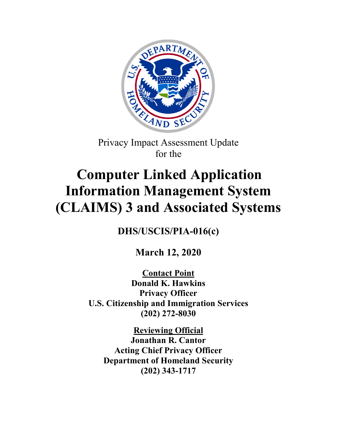

Privacy Impact Assessment Update for the

# **Computer Linked Application Information Management System (CLAIMS) 3 and Associated Systems**

**DHS/USCIS/PIA-016(c)**

**March 12, 2020**

**Contact Point Donald K. Hawkins Privacy Officer U.S. Citizenship and Immigration Services (202) 272-8030**

**Reviewing Official Jonathan R. Cantor Acting Chief Privacy Officer Department of Homeland Security (202) 343-1717**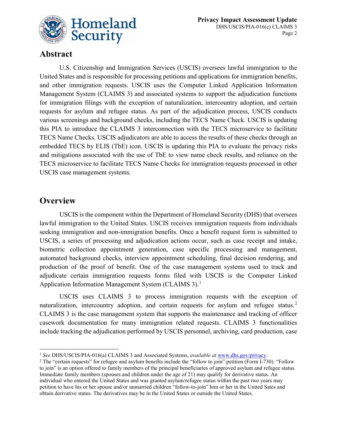

### **Abstract**

U.S. Citizenship and Immigration Services (USCIS) oversees lawful immigration to the United States and is responsible for processing petitions and applications for immigration benefits, and other immigration requests. USCIS uses the Computer Linked Application Information Management System (CLAIMS 3) and associated systems to support the adjudication functions for immigration filings with the exception of naturalization, intercountry adoption, and certain requests for asylum and refugee status. As part of the adjudication process, USCIS conducts various screenings and background checks, including the TECS Name Check. USCIS is updating this PIA to introduce the CLAIMS 3 interconnection with the TECS microservice to facilitate TECS Name Checks. USCIS adjudicators are able to access the results of these checks through an embedded TECS by ELIS (TbE) icon. USCIS is updating this PIA to evaluate the privacy risks and mitigations associated with the use of TbE to view name check results, and reliance on the TECS microservice to facilitate TECS Name Checks for immigration requests processed in other USCIS case management systems.

## **Overview**

 $\overline{a}$ 

USCIS is the component within the Department of Homeland Security (DHS) that oversees lawful immigration to the United States. USCIS receives immigration requests from individuals seeking immigration and non-immigration benefits. Once a benefit request form is submitted to USCIS, a series of processing and adjudication actions occur, such as case receipt and intake, biometric collection appointment generation, case specific processing and management, automated background checks, interview appointment scheduling, final decision rendering, and production of the proof of benefit. One of the case management systems used to track and adjudicate certain immigration requests forms filed with USCIS is the Computer Linked Application Information Management System (CLAIMS 3).<sup>[1](#page-1-0)</sup>

USCIS uses CLAIMS 3 to process immigration requests with the exception of naturalization, intercountry adoption, and certain requests for asylum and refugee status.<sup>[2](#page-1-1)</sup> CLAIMS 3 is the case management system that supports the maintenance and tracking of officer casework documentation for many immigration related requests. CLAIMS 3 functionalities include tracking the adjudication performed by USCIS personnel, archiving, card production, case

<span id="page-1-0"></span><sup>&</sup>lt;sup>1</sup> *See DHS/USCIS/PIA-016(a) CLAIMS 3 and Associated Systems, <i>available at* [www.dhs.gov/privacy.](http://www.dhs.gov/privacy)<br><sup>2</sup> The "certain requests" for refugee and asylum benefits include the "follow to join" petition (Form I-730). "Follow

<span id="page-1-1"></span>to join" is an option offered to family members of the principal beneficiaries of approved asylum and refugee status. Immediate family members (spouses and children under the age of 21) may qualify for derivative status. An individual who entered the United States and was granted asylum/refugee status within the past two years may petition to have his or her spouse and/or unmarried children "follow-to-join" him or her in the United Sates and obtain derivative status. The derivatives may be in the United States or outside the United States.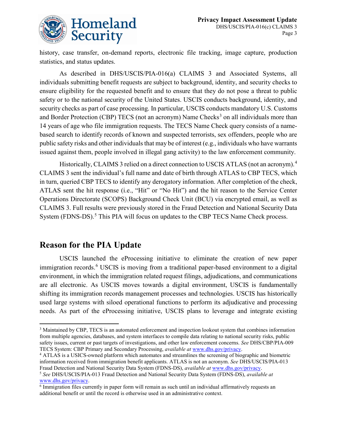

history, case transfer, on-demand reports, electronic file tracking, image capture, production statistics, and status updates.

As described in DHS/USCIS/PIA-016(a) CLAIMS 3 and Associated Systems, all individuals submitting benefit requests are subject to background, identity, and security checks to ensure eligibility for the requested benefit and to ensure that they do not pose a threat to public safety or to the national security of the United States. USCIS conducts background, identity, and security checks as part of case processing. In particular, USCIS conducts mandatory U.S. Customs and Border Protection (CBP) TECS (not an acronym) Name Checks<sup>[3](#page-2-0)</sup> on all individuals more than 14 years of age who file immigration requests. The TECS Name Check query consists of a namebased search to identify records of known and suspected terrorists, sex offenders, people who are public safety risks and other individuals that may be of interest (e.g., individuals who have warrants issued against them, people involved in illegal gang activity) to the law enforcement community.

Historically, CLAIMS 3 relied on a direct connection to USCIS ATLAS (not an acronym).<sup>[4](#page-2-1)</sup> CLAIMS 3 sent the individual's full name and date of birth through ATLAS to CBP TECS, which in turn, queried CBP TECS to identify any derogatory information. After completion of the check, ATLAS sent the hit response (i.e., "Hit" or "No Hit") and the hit reason to the Service Center Operations Directorate (SCOPS) Background Check Unit (BCU) via encrypted email, as well as CLAIMS 3. Full results were previously stored in the Fraud Detection and National Security Data System (FDNS-DS).<sup>[5](#page-2-2)</sup> This PIA will focus on updates to the CBP TECS Name Check process.

## **Reason for the PIA Update**

 $\overline{a}$ 

USCIS launched the eProcessing initiative to eliminate the creation of new paper immigration records.<sup>[6](#page-2-3)</sup> USCIS is moving from a traditional paper-based environment to a digital environment, in which the immigration related request filings, adjudications, and communications are all electronic. As USCIS moves towards a digital environment, USCIS is fundamentally shifting its immigration records management processes and technologies. USCIS has historically used large systems with siloed operational functions to perform its adjudicative and processing needs. As part of the eProcessing initiative, USCIS plans to leverage and integrate existing

<span id="page-2-0"></span><sup>&</sup>lt;sup>3</sup> Maintained by CBP, TECS is an automated enforcement and inspection lookout system that combines information from multiple agencies, databases, and system interfaces to compile data relating to national security risks, public safety issues, current or past targets of investigations, and other law enforcement concerns. *See* DHS/CBP/PIA-009 TECS System: CBP Primary and Secondary Processing, *available at* [www.dhs.gov/privacy.](http://www.dhs.gov/privacy) 4 ATLAS is a USICS-owned platform which automates and streamlines the screening of biographic and biometric

<span id="page-2-1"></span>information received from immigration benefit applicants. ATLAS is not an acronym. *See* DHS/USCIS/PIA-013 Fraud Detection and National Security Data System (FDNS-DS), *available at* [www.dhs.gov/privacy.](http://www.dhs.gov/privacy)

<span id="page-2-2"></span><sup>5</sup> *See* DHS/USCIS/PIA-013 Fraud Detection and National Security Data System (FDNS-DS), *available at* [www.dhs.gov/privacy.](http://www.dhs.gov/privacy)

<span id="page-2-3"></span><sup>6</sup> Immigration files currently in paper form will remain as such until an individual affirmatively requests an additional benefit or until the record is otherwise used in an administrative context.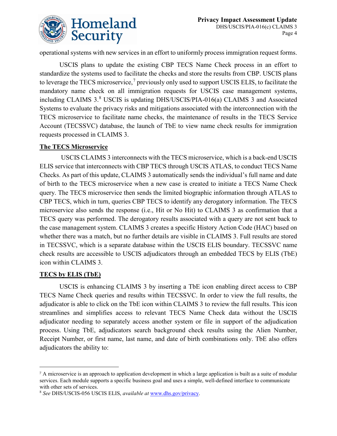

operational systems with new services in an effort to uniformly process immigration request forms.

USCIS plans to update the existing CBP TECS Name Check process in an effort to standardize the systems used to facilitate the checks and store the results from CBP. USCIS plans to leverage the TECS microservice,<sup>[7](#page-3-0)</sup> previously only used to support USCIS ELIS, to facilitate the mandatory name check on all immigration requests for USCIS case management systems, including CLAIMS 3. [8](#page-3-1) USCIS is updating DHS/USCIS/PIA-016(a) CLAIMS 3 and Associated Systems to evaluate the privacy risks and mitigations associated with the interconnection with the TECS microservice to facilitate name checks, the maintenance of results in the TECS Service Account (TECSSVC) database, the launch of TbE to view name check results for immigration requests processed in CLAIMS 3.

#### **The TECS Microservice**

USCIS CLAIMS 3 interconnects with the TECS microservice, which is a back-end USCIS ELIS service that interconnects with CBP TECS through USCIS ATLAS, to conduct TECS Name Checks. As part of this update, CLAIMS 3 automatically sends the individual's full name and date of birth to the TECS microservice when a new case is created to initiate a TECS Name Check query. The TECS microservice then sends the limited biographic information through ATLAS to CBP TECS, which in turn, queries CBP TECS to identify any derogatory information. The TECS microservice also sends the response (i.e., Hit or No Hit) to CLAIMS 3 as confirmation that a TECS query was performed. The derogatory results associated with a query are not sent back to the case management system. CLAIMS 3 creates a specific History Action Code (HAC) based on whether there was a match, but no further details are visible in CLAIMS 3. Full results are stored in TECSSVC, which is a separate database within the USCIS ELIS boundary. TECSSVC name check results are accessible to USCIS adjudicators through an embedded TECS by ELIS (TbE) icon within CLAIMS 3.

#### **TECS by ELIS (TbE)**

 $\overline{a}$ 

USCIS is enhancing CLAIMS 3 by inserting a TbE icon enabling direct access to CBP TECS Name Check queries and results within TECSSVC. In order to view the full results, the adjudicator is able to click on the TbE icon within CLAIMS 3 to review the full results. This icon streamlines and simplifies access to relevant TECS Name Check data without the USCIS adjudicator needing to separately access another system or file in support of the adjudication process. Using TbE, adjudicators search background check results using the Alien Number, Receipt Number, or first name, last name, and date of birth combinations only. TbE also offers adjudicators the ability to:

<span id="page-3-0"></span><sup>7</sup> A microservice is an approach to application development in which a large application is built as a suite of modular services. Each module supports a specific business goal and uses a simple, well-defined interface to communicate with other sets of services.

<span id="page-3-1"></span><sup>8</sup> *See* DHS/USCIS-056 USCIS ELIS, *available at* [www.dhs.gov/privacy.](http://www.dhs.gov/privacy)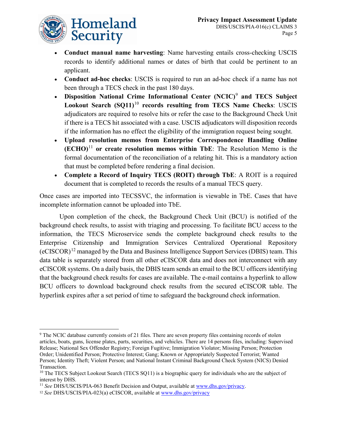

- **Conduct manual name harvesting**: Name harvesting entails cross-checking USCIS records to identify additional names or dates of birth that could be pertinent to an applicant.
- **Conduct ad-hoc checks**: USCIS is required to run an ad-hoc check if a name has not been through a TECS check in the past 180 days.
- **Disposition National Crime Informational Center (NCIC)**[9](#page-4-0) **and TECS Subject Lookout Search (SQ11)**[10](#page-4-1) **records resulting from TECS Name Checks**: USCIS adjudicators are required to resolve hits or refer the case to the Background Check Unit if there is a TECS hit associated with a case. USCIS adjudicators will disposition records if the information has no effect the eligibility of the immigration request being sought.
- **Upload resolution memos from Enterprise Correspondence Handling Online (ECHO)**[11](#page-4-2) **or create resolution memos within TbE**: The Resolution Memo is the formal documentation of the reconciliation of a relating hit. This is a mandatory action that must be completed before rendering a final decision.
- **Complete a Record of Inquiry TECS (ROIT) through TbE**: A ROIT is a required document that is completed to records the results of a manual TECS query.

Once cases are imported into TECSSVC, the information is viewable in TbE. Cases that have incomplete information cannot be uploaded into TbE.

Upon completion of the check, the Background Check Unit (BCU) is notified of the background check results, to assist with triaging and processing. To facilitate BCU access to the information, the TECS Microservice sends the complete background check results to the Enterprise Citizenship and Immigration Services Centralized Operational Repository (eCISCOR)[12](#page-4-3) managed by the Data and Business Intelligence Support Services (DBIS) team. This data table is separately stored from all other eCISCOR data and does not interconnect with any eCISCOR systems. On a daily basis, the DBIS team sends an email to the BCU officers identifying that the background check results for cases are available. The e-mail contains a hyperlink to allow BCU officers to download background check results from the secured eCISCOR table. The hyperlink expires after a set period of time to safeguard the background check information.

<span id="page-4-0"></span> $\overline{a}$ <sup>9</sup> The NCIC database currently consists of 21 files. There are seven property files containing records of stolen articles, boats, guns, license plates, parts, securities, and vehicles. There are 14 persons files, including: Supervised Release; National Sex Offender Registry; Foreign Fugitive; Immigration Violator; Missing Person; Protection Order; Unidentified Person; Protective Interest; Gang; Known or Appropriately Suspected Terrorist; Wanted Person; Identity Theft; Violent Person; and National Instant Criminal Background Check System (NICS) Denied Transaction.

<span id="page-4-1"></span><sup>&</sup>lt;sup>10</sup> The TECS Subject Lookout Search (TECS SQ11) is a biographic query for individuals who are the subject of interest by DHS.

<span id="page-4-2"></span><sup>&</sup>lt;sup>11</sup> *See* DHS/USCIS/PIA-063 Benefit Decision and Output, available at [www.dhs.gov/privacy.](http://www.dhs.gov/privacy)

<span id="page-4-3"></span><sup>12</sup> *See* DHS/USCIS/PIA-023(a) eCISCOR, available a[t www.dhs.gov/privacy](http://www.dhs.gov/privacy)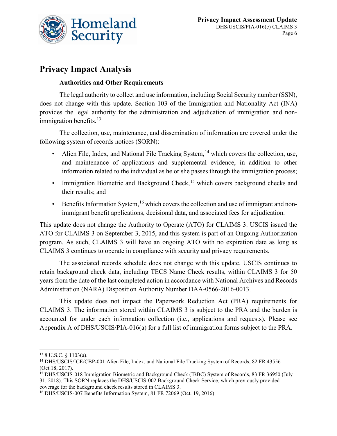

## **Privacy Impact Analysis**

#### **Authorities and Other Requirements**

The legal authority to collect and use information, including Social Security number (SSN), does not change with this update. Section 103 of the Immigration and Nationality Act (INA) provides the legal authority for the administration and adjudication of immigration and nonimmigration benefits. $^{13}$  $^{13}$  $^{13}$ 

The collection, use, maintenance, and dissemination of information are covered under the following system of records notices (SORN):

- Alien File, Index, and National File Tracking System,<sup>[14](#page-5-1)</sup> which covers the collection, use, and maintenance of applications and supplemental evidence, in addition to other information related to the individual as he or she passes through the immigration process;
- Immigration Biometric and Background Check,<sup>[15](#page-5-2)</sup> which covers background checks and their results; and
- Benefits Information System, <sup>[16](#page-5-3)</sup> which covers the collection and use of immigrant and nonimmigrant benefit applications, decisional data, and associated fees for adjudication.

This update does not change the Authority to Operate (ATO) for CLAIMS 3. USCIS issued the ATO for CLAIMS 3 on September 3, 2015, and this system is part of an Ongoing Authorization program. As such, CLAIMS 3 will have an ongoing ATO with no expiration date as long as CLAIMS 3 continues to operate in compliance with security and privacy requirements.

The associated records schedule does not change with this update. USCIS continues to retain background check data, including TECS Name Check results, within CLAIMS 3 for 50 years from the date of the last completed action in accordance with National Archives and Records Administration (NARA) Disposition Authority Number DAA-0566-2016-0013.

This update does not impact the Paperwork Reduction Act (PRA) requirements for CLAIMS 3. The information stored within CLAIMS 3 is subject to the PRA and the burden is accounted for under each information collection (i.e., applications and requests). Please see Appendix A of DHS/USCIS/PIA-016(a) for a full list of immigration forms subject to the PRA.

 $\overline{a}$ 

<span id="page-5-0"></span><sup>13</sup> 8 U.S.C. § 1103(a).

<span id="page-5-1"></span><sup>14</sup> DHS/USCIS/ICE/CBP-001 Alien File, Index, and National File Tracking System of Records, 82 FR 43556 (Oct.18, 2017).

<span id="page-5-2"></span><sup>&</sup>lt;sup>15</sup> DHS/USCIS-018 Immigration Biometric and Background Check (IBBC) System of Records, 83 FR 36950 (July 31, 2018). This SORN replaces the DHS/USCIS-002 Background Check Service, which previously provided coverage for the background check results stored in CLAIMS 3. 16 DHS/USCIS-007 Benefits Information System, 81 FR 72069 (Oct. 19, 2016)

<span id="page-5-3"></span>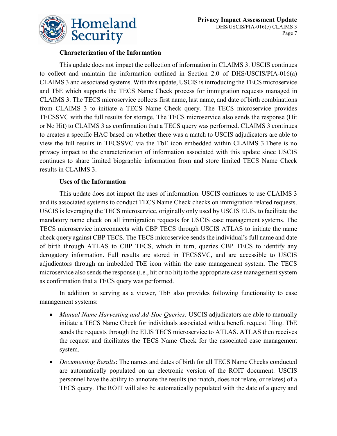

#### **Characterization of the Information**

This update does not impact the collection of information in CLAIMS 3. USCIS continues to collect and maintain the information outlined in Section 2.0 of DHS/USCIS/PIA-016(a) CLAIMS 3 and associated systems. With this update, USCIS is introducing the TECS microservice and TbE which supports the TECS Name Check process for immigration requests managed in CLAIMS 3. The TECS microservice collects first name, last name, and date of birth combinations from CLAIMS 3 to initiate a TECS Name Check query. The TECS microservice provides TECSSVC with the full results for storage. The TECS microservice also sends the response (Hit or No Hit) to CLAIMS 3 as confirmation that a TECS query was performed. CLAIMS 3 continues to creates a specific HAC based on whether there was a match to USCIS adjudicators are able to view the full results in TECSSVC via the TbE icon embedded within CLAIMS 3.There is no privacy impact to the characterization of information associated with this update since USCIS continues to share limited biographic information from and store limited TECS Name Check results in CLAIMS 3.

#### **Uses of the Information**

This update does not impact the uses of information. USCIS continues to use CLAIMS 3 and its associated systems to conduct TECS Name Check checks on immigration related requests. USCIS is leveraging the TECS microservice, originally only used by USCIS ELIS, to facilitate the mandatory name check on all immigration requests for USCIS case management systems. The TECS microservice interconnects with CBP TECS through USCIS ATLAS to initiate the name check query against CBP TECS. The TECS microservice sends the individual's full name and date of birth through ATLAS to CBP TECS, which in turn, queries CBP TECS to identify any derogatory information. Full results are stored in TECSSVC, and are accessible to USCIS adjudicators through an imbedded TbE icon within the case management system. The TECS microservice also sends the response (i.e., hit or no hit) to the appropriate case management system as confirmation that a TECS query was performed.

In addition to serving as a viewer, TbE also provides following functionality to case management systems:

- *Manual Name Harvesting and Ad-Hoc Queries:* USCIS adjudicators are able to manually initiate a TECS Name Check for individuals associated with a benefit request filing. TbE sends the requests through the ELIS TECS microservice to ATLAS. ATLAS then receives the request and facilitates the TECS Name Check for the associated case management system.
- *Documenting Results*: The names and dates of birth for all TECS Name Checks conducted are automatically populated on an electronic version of the ROIT document. USCIS personnel have the ability to annotate the results (no match, does not relate, or relates) of a TECS query. The ROIT will also be automatically populated with the date of a query and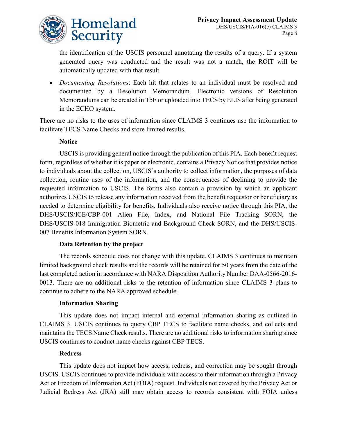

the identification of the USCIS personnel annotating the results of a query. If a system generated query was conducted and the result was not a match, the ROIT will be automatically updated with that result.

• *Documenting Resolutions*: Each hit that relates to an individual must be resolved and documented by a Resolution Memorandum. Electronic versions of Resolution Memorandums can be created in TbE or uploaded into TECS by ELIS after being generated in the ECHO system.

There are no risks to the uses of information since CLAIMS 3 continues use the information to facilitate TECS Name Checks and store limited results.

#### **Notice**

USCIS is providing general notice through the publication of this PIA. Each benefit request form, regardless of whether it is paper or electronic, contains a Privacy Notice that provides notice to individuals about the collection, USCIS's authority to collect information, the purposes of data collection, routine uses of the information, and the consequences of declining to provide the requested information to USCIS. The forms also contain a provision by which an applicant authorizes USCIS to release any information received from the benefit requestor or beneficiary as needed to determine eligibility for benefits. Individuals also receive notice through this PIA, the DHS/USCIS/ICE/CBP-001 Alien File, Index, and National File Tracking SORN, the DHS/USCIS-018 Immigration Biometric and Background Check SORN, and the DHS/USCIS-007 Benefits Information System SORN.

#### **Data Retention by the project**

The records schedule does not change with this update. CLAIMS 3 continues to maintain limited background check results and the records will be retained for 50 years from the date of the last completed action in accordance with NARA Disposition Authority Number DAA-0566-2016- 0013. There are no additional risks to the retention of information since CLAIMS 3 plans to continue to adhere to the NARA approved schedule.

#### **Information Sharing**

This update does not impact internal and external information sharing as outlined in CLAIMS 3. USCIS continues to query CBP TECS to facilitate name checks, and collects and maintains the TECS Name Check results. There are no additional risks to information sharing since USCIS continues to conduct name checks against CBP TECS.

#### **Redress**

This update does not impact how access, redress, and correction may be sought through USCIS. USCIS continues to provide individuals with access to their information through a Privacy Act or Freedom of Information Act (FOIA) request. Individuals not covered by the Privacy Act or Judicial Redress Act (JRA) still may obtain access to records consistent with FOIA unless